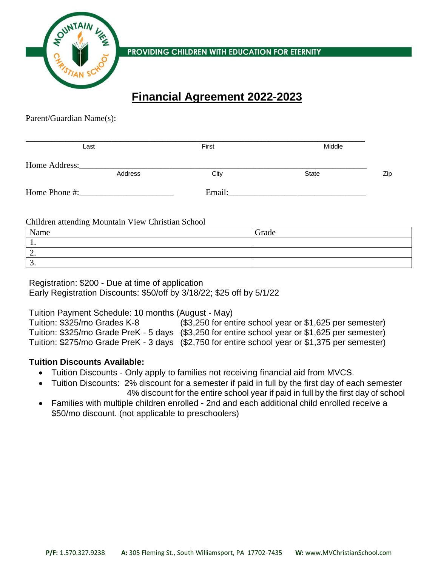

PROVIDING CHILDREN WITH EDUCATION FOR ETERNITY

# **Financial Agreement 2022-2023**

Parent/Guardian Name(s):

| Last          |         | First  | Middle       |     |
|---------------|---------|--------|--------------|-----|
| Home Address: | Address | City   | <b>State</b> | Zip |
| Home Phone #: |         | Email: |              |     |

Children attending Mountain View Christian School

| Name  | Grade |
|-------|-------|
| . .   |       |
| ∼.    |       |
| . J . |       |

Registration: \$200 - Due at time of application Early Registration Discounts: \$50/off by 3/18/22; \$25 off by 5/1/22

Tuition Payment Schedule: 10 months (August - May) Tuition: \$325/mo Grades K-8 (\$3,250 for entire school year or \$1,625 per semester) Tuition: \$325/mo Grade PreK - 5 days (\$3,250 for entire school year or \$1,625 per semester) Tuition: \$275/mo Grade PreK - 3 days (\$2,750 for entire school year or \$1,375 per semester)

## **Tuition Discounts Available:**

- Tuition Discounts Only apply to families not receiving financial aid from MVCS.
- Tuition Discounts: 2% discount for a semester if paid in full by the first day of each semester 4% discount for the entire school year if paid in full by the first day of school
- Families with multiple children enrolled 2nd and each additional child enrolled receive a \$50/mo discount. (not applicable to preschoolers)